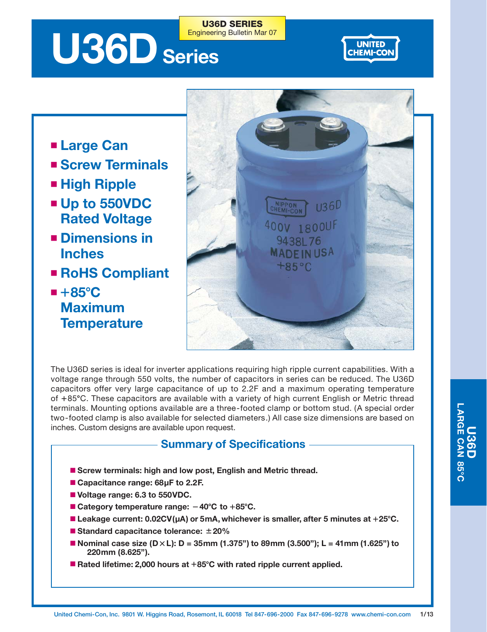# U36D Series Engineering Bulletin Mar 07

**UNITED CHEMI-COM** 

- **Large Can**
- **Screw Terminals**
- **High Ripple**
- Up to 550VDC **Rated Voltage**
- **Dimensions in Inches**
- **RoHS Compliant**
- $\blacksquare$  +85 $\rm ^{\circ}C$ **Maximum Temperature**



The U36D series is ideal for inverter applications requiring high ripple current capabilities. With a voltage range through 550 volts, the number of capacitors in series can be reduced. The U36D capacitors offer very large capacitance of up to 2.2F and a maximum operating temperature of +85°C. These capacitors are available with a variety of high current English or Metric thread terminals. Mounting options available are a three-footed clamp or bottom stud. (A special order two-footed clamp is also available for selected diameters.) All case size dimensions are based on inches. Custom designs are available upon request.

**U36D SERIES**

### **Summary of Specifications**

- Screw terminals: high and low post, English and Metric thread.
- Capacitance range: 68µF to 2.2F.
- **Voltage range: 6.3 to 550VDC.**
- Category temperature range:  $-40^{\circ}$ C to +85<sup>°</sup>C.
- Leakage current: 0.02CV(µA) or 5mA, whichever is smaller, after 5 minutes at +25°C.
- **Standard capacitance tolerance: 20%**
- Nominal case size (D×L): D = 35mm (1.375") to 89mm (3.500"); L = 41mm (1.625") to **220mm (8.625").**
- Rated lifetime: 2,000 hours at +85°C with rated ripple current applied.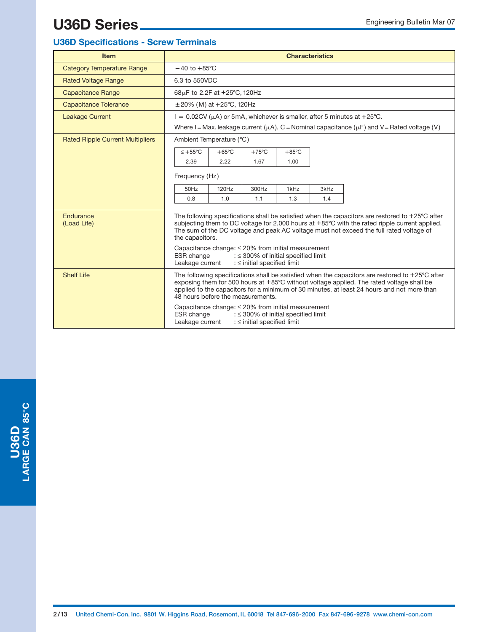#### **U36D Specifications - Screw Terminals**

| <b>Item</b>                             | <b>Characteristics</b>                                                                                                                                                                                                                                                                                                                   |  |  |  |  |  |
|-----------------------------------------|------------------------------------------------------------------------------------------------------------------------------------------------------------------------------------------------------------------------------------------------------------------------------------------------------------------------------------------|--|--|--|--|--|
| <b>Category Temperature Range</b>       | $-40$ to $+85^{\circ}$ C                                                                                                                                                                                                                                                                                                                 |  |  |  |  |  |
| <b>Rated Voltage Range</b>              | 6.3 to 550VDC                                                                                                                                                                                                                                                                                                                            |  |  |  |  |  |
| <b>Capacitance Range</b>                | 68µF to 2.2F at +25°C, 120Hz                                                                                                                                                                                                                                                                                                             |  |  |  |  |  |
| Capacitance Tolerance                   | $\pm 20\%$ (M) at $+25^{\circ}$ C, 120Hz                                                                                                                                                                                                                                                                                                 |  |  |  |  |  |
| <b>Leakage Current</b>                  | $I = 0.02CV(\mu A)$ or 5mA, whichever is smaller, after 5 minutes at +25°C.                                                                                                                                                                                                                                                              |  |  |  |  |  |
|                                         | Where I = Max. leakage current ( $\mu$ A), C = Nominal capacitance ( $\mu$ F) and V = Rated voltage (V)                                                                                                                                                                                                                                  |  |  |  |  |  |
| <b>Rated Ripple Current Multipliers</b> | Ambient Temperature (°C)                                                                                                                                                                                                                                                                                                                 |  |  |  |  |  |
|                                         | $< +55^{\circ}$ C<br>$+65^{\circ}$ C<br>$+75^{\circ}$ C<br>$+85^{\circ}$ C                                                                                                                                                                                                                                                               |  |  |  |  |  |
|                                         | 1.67<br>2.39<br>2.22<br>1.00                                                                                                                                                                                                                                                                                                             |  |  |  |  |  |
|                                         | Frequency (Hz)                                                                                                                                                                                                                                                                                                                           |  |  |  |  |  |
|                                         | 50Hz<br>120Hz<br>300Hz<br>1kHz<br>3kHz                                                                                                                                                                                                                                                                                                   |  |  |  |  |  |
|                                         | 1.0<br>0.8<br>1.1<br>1.3<br>1.4                                                                                                                                                                                                                                                                                                          |  |  |  |  |  |
| Endurance<br>(Load Life)                | The following specifications shall be satisfied when the capacitors are restored to +25°C after<br>subjecting them to DC voltage for 2,000 hours at +85°C with the rated ripple current applied.<br>The sum of the DC voltage and peak AC voltage must not exceed the full rated voltage of<br>the capacitors.                           |  |  |  |  |  |
|                                         | Capacitance change: $\leq$ 20% from initial measurement<br>ESR change<br>: $\leq$ 300% of initial specified limit<br>Leakage current<br>: $\le$ initial specified limit                                                                                                                                                                  |  |  |  |  |  |
| <b>Shelf Life</b>                       | The following specifications shall be satisfied when the capacitors are restored to $+25^{\circ}$ C after<br>exposing them for 500 hours at +85°C without voltage applied. The rated voltage shall be<br>applied to the capacitors for a minimum of 30 minutes, at least 24 hours and not more than<br>48 hours before the measurements. |  |  |  |  |  |
|                                         | Capacitance change: $\leq$ 20% from initial measurement<br>ESR change<br>: $\leq$ 300% of initial specified limit<br>Leakage current<br>: $\le$ initial specified limit                                                                                                                                                                  |  |  |  |  |  |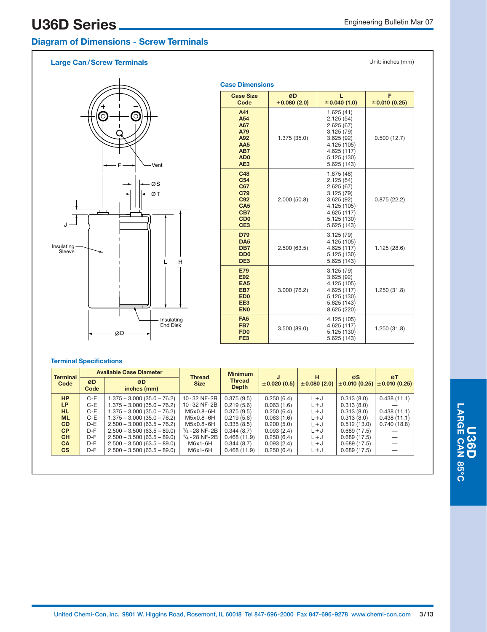### **Diagram of Dimensions - Screw Terminals**

#### **Large Can/Screw Terminals**



| <b>Case Dimensions</b>                                                                                                  |                     |                                                                                                                            |                    |  |  |  |  |  |
|-------------------------------------------------------------------------------------------------------------------------|---------------------|----------------------------------------------------------------------------------------------------------------------------|--------------------|--|--|--|--|--|
| <b>Case Size</b><br>Code                                                                                                | ØD<br>$+0.080(2.0)$ | L<br>± 0.040(1.0)                                                                                                          | F<br>± 0.010(0.25) |  |  |  |  |  |
| A41<br>A54<br>A67<br>A79<br>A92<br>AA <sub>5</sub><br>AB7<br>AD <sub>0</sub><br>AE <sub>3</sub>                         | 1.375 (35.0)        | 1.625(41)<br>2.125(54)<br>2.625(67)<br>3.125(79)<br>3.625(92)<br>4.125 (105)<br>4.625 (117)<br>5.125 (130)<br>5.625 (143)  | 0.500(12.7)        |  |  |  |  |  |
| C48<br>C <sub>54</sub><br>C67<br>C79<br>C92<br>CA <sub>5</sub><br>CB7<br>C <sub>D</sub> <sub>0</sub><br>CE <sub>3</sub> | 2.000(50.8)         | 1.875 (48)<br>2.125(54)<br>2.625(67)<br>3.125(79)<br>3.625(92)<br>4.125 (105)<br>4.625 (117)<br>5.125 (130)<br>5.625 (143) | 0.875(22.2)        |  |  |  |  |  |
| <b>D79</b><br>DA <sub>5</sub><br>DB7<br>D <sub>D</sub> <sub>0</sub><br>DE <sub>3</sub>                                  | 2.500(63.5)         | 3.125(79)<br>4.125 (105)<br>4.625 (117)<br>5.125 (130)<br>5.625 (143)                                                      | 1.125 (28.6)       |  |  |  |  |  |
| <b>E79</b><br>E92<br>EA <sub>5</sub><br>EB7<br>ED <sub>0</sub><br>EE3<br>EN <sub>0</sub>                                | 3.000(76.2)         | 3.125(79)<br>3.625(92)<br>4.125 (105)<br>4.625 (117)<br>5.125 (130)<br>5.625 (143)<br>8.625 (220)                          | 1.250 (31.8)       |  |  |  |  |  |
| FA <sub>5</sub><br>FB7<br>FD <sub>0</sub><br>FE <sub>3</sub>                                                            | 3.500(89.0)         | 4.125 (105)<br>4.625 (117)<br>5.125 (130)<br>5.625 (143)                                                                   | 1.250(31.8)        |  |  |  |  |  |

#### **Terminal Specifications**

| <b>Terminal</b> |            | <b>Available Case Diameter</b> | <b>Thread</b>            | <b>Minimum</b>                | J                | н           | øs          | ØT                                    |  |
|-----------------|------------|--------------------------------|--------------------------|-------------------------------|------------------|-------------|-------------|---------------------------------------|--|
| Code            | ØD<br>Code | ØD<br>inches (mm)              | <b>Size</b>              | <b>Thread</b><br><b>Depth</b> | $\pm 0.020(0.5)$ | ±0.080(2.0) |             | $\pm$ 0.010 (0.25) $\pm$ 0.010 (0.25) |  |
| <b>HP</b>       | $C-E$      | 1.375 - 3.000 (35.0 - 76.2)    | 10-32 NF-2B              | 0.375(9.5)                    | 0.250(6.4)       | $L+J$       | 0.313(8.0)  | 0.438(11.1)                           |  |
| <b>LP</b>       | C-E        | $1.375 - 3.000(35.0 - 76.2)$   | 10-32 NF-2B              | 0.219(5.6)                    | 0.063(1.6)       | $L + J$     | 0.313(8.0)  |                                       |  |
| HL.             | $C-E$      | 1.375 - 3.000 (35.0 - 76.2)    | M5x0.8-6H                | 0.375(9.5)                    | 0.250(6.4)       | $L+J$       | 0.313(8.0)  | 0.438(11.1)                           |  |
| <b>ML</b>       | $C-E$      | 1.375 - 3.000 (35.0 - 76.2)    | M5x0.8-6H                | 0.219(5.6)                    | 0.063(1.6)       | $L+J$       | 0.313(8.0)  | 0.438(11.1)                           |  |
| <b>CD</b>       | D-E        | $2.500 - 3.000(63.5 - 76.2)$   | M5x0.8-6H                | 0.335(8.5)                    | 0.200(5.0)       | $L+J$       | 0.512(13.0) | 0.740(18.8)                           |  |
| <b>CP</b>       | $D-F$      | $2.500 - 3.500(63.5 - 89.0)$   | $1/4 - 28$ NF-2B         | 0.344(8.7)                    | 0.093(2.4)       | $L+J$       | 0.689(17.5) |                                       |  |
| <b>CH</b>       | $D-F$      | $2.500 - 3.500(63.5 - 89.0)$   | $\frac{1}{4}$ - 28 NF-2B | 0.468(11.9)                   | 0.250(6.4)       | $L+J$       | 0.689(17.5) |                                       |  |
| <b>CA</b>       | $D-F$      | $2.500 - 3.500(63.5 - 89.0)$   | $M6x1-6H$                | 0.344(8.7)                    | 0.093(2.4)       | $L+J$       | 0.689(17.5) |                                       |  |
| <b>CS</b>       | $D-F$      | $2.500 - 3.500(63.5 - 89.0)$   | $M6x1-6H$                | 0.468(11.9)                   | 0.250(6.4)       | $L+J$       | 0.689(17.5) |                                       |  |
|                 |            |                                |                          |                               |                  |             |             |                                       |  |
|                 |            |                                |                          |                               |                  |             |             |                                       |  |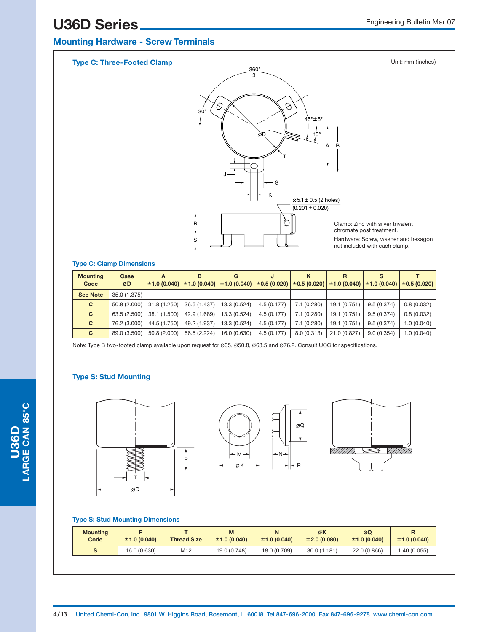### **Mounting Hardware - Screw Terminals**



#### **Type C: Clamp Dimensions**

| <b>Mounting</b><br>Code | Case<br>ØD   | A            | в            | G<br>$\pm$ 1.0 (0.040) $\pm$ 1.0 (0.040) $\pm$ 1.0 (0.040) | $\pm 0.5(0.020)$ | ĸ           | R            |            | $\pm 0.5$ (0.020) $\pm 1.0$ (0.040) $\pm 1.0$ (0.040) $\pm 0.5$ (0.020) |
|-------------------------|--------------|--------------|--------------|------------------------------------------------------------|------------------|-------------|--------------|------------|-------------------------------------------------------------------------|
| <b>See Note</b>         | 35.0 (1.375) |              |              |                                                            |                  |             |              |            |                                                                         |
| C.                      | 50.8 (2.000) | 31.8 (1.250) | 36.5 (1.437) | 13.3 (0.524)                                               | 4.5(0.177)       | 7.1 (0.280) | 19.1 (0.751) | 9.5(0.374) | 0.8(0.032)                                                              |
| C.                      | 63.5 (2.500) | 38.1 (1.500) | 42.9 (1.689) | 13.3 (0.524)                                               | 4.5(0.177)       | 7.1(0.280)  | 19.1 (0.751) | 9.5(0.374) | 0.8(0.032)                                                              |
| C.                      | 76.2 (3.000) | 44.5 (1.750) | 49.2 (1.937) | 13.3 (0.524)                                               | 4.5(0.177)       | 7.1(0.280)  | 19.1 (0.751) | 9.5(0.374) | 1.0(0.040)                                                              |
| C.                      | 89.0 (3.500) | 50.8 (2.000) | 56.5 (2.224) | 16.0 (0.630)                                               | 4.5(0.177)       | 8.0(0.313)  | 21.0 (0.827) | 9.0(0.354) | 1.0(0.040)                                                              |

Note: Type B two-footed clamp available upon request for Ø35, Ø50.8, Ø63.5 and Ø76.2. Consult UCC for specifications.

#### **Type S: Stud Mounting**







#### **Type S: Stud Mounting Dimensions**

| <b>Mounting</b><br>Code | D<br>±1.0(0.040) | <b>Thread Size</b> | ±1.0(0.040)  | N<br>±1.0(0.040) | ØK<br>±2.0(0.080) | øΩ<br>±1.0(0.040) | ±1.0(0.040) |
|-------------------------|------------------|--------------------|--------------|------------------|-------------------|-------------------|-------------|
|                         | 16.0 (0.630)     | M12                | 19.0 (0.748) | 18.0 (0.709)     | 30.0(1.181)       | 22.0 (0.866)      | (0.055)     |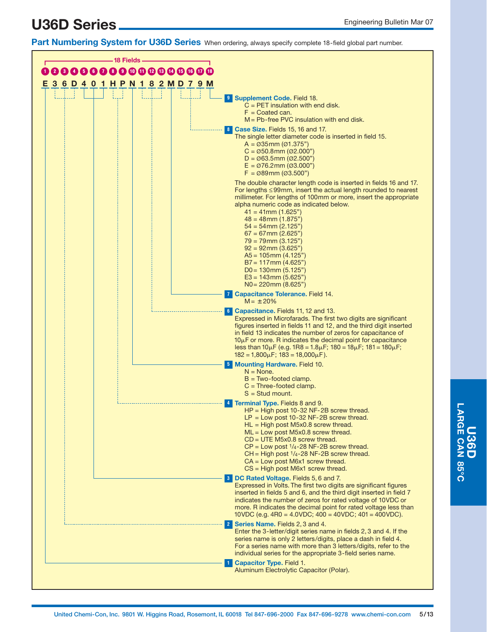**Part Numbering System for U36D Series** When ordering, always specify complete 18-field global part number.

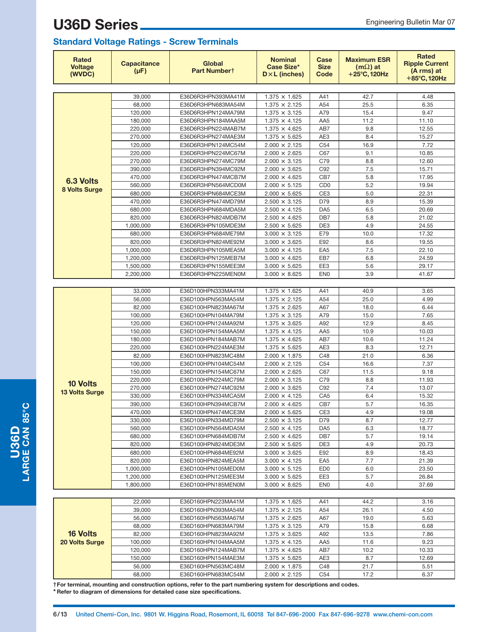#### **Standard Voltage Ratings - Screw Terminals**

| Rated<br><b>Voltage</b><br>(WVDC) | <b>Capacitance</b><br>$(\mu F)$ | <b>Global</b><br>Part Numbert            | <b>Nominal</b><br>Case Size*<br>$D \times L$ (inches) | Case<br><b>Size</b><br>Code | <b>Maximum ESR</b><br>$(m\Omega)$ at<br>$+25^{\circ}$ C, 120Hz | <b>Rated</b><br><b>Ripple Current</b><br>(A rms) at<br>+85°C, 120Hz |
|-----------------------------------|---------------------------------|------------------------------------------|-------------------------------------------------------|-----------------------------|----------------------------------------------------------------|---------------------------------------------------------------------|
|                                   |                                 |                                          |                                                       |                             |                                                                |                                                                     |
|                                   | 39,000                          | E36D6R3HPN393MA41M                       | $1.375 \times 1.625$                                  | A41                         | 42.7                                                           | 4.48                                                                |
|                                   | 68,000                          | E36D6R3HPN683MA54M                       | $1.375 \times 2.125$                                  | A54                         | 25.5                                                           | 6.35                                                                |
|                                   | 120,000                         | E36D6R3HPN124MA79M                       | $1.375 \times 3.125$                                  | A79                         | 15.4                                                           | 9.47                                                                |
|                                   | 180,000                         | E36D6R3HPN184MAA5M                       | $1.375 \times 4.125$                                  | AA <sub>5</sub>             | 11.2                                                           | 11.10                                                               |
|                                   | 220,000                         | E36D6R3HPN224MAB7M                       | $1.375 \times 4.625$                                  | AB7                         | 9.8                                                            | 12.55                                                               |
|                                   | 270,000                         | E36D6R3HPN274MAE3M                       | $1.375 \times 5.625$                                  | AE3                         | 8.4                                                            | 15.27                                                               |
|                                   | 120,000                         | E36D6R3HPN124MC54M                       | $2.000 \times 2.125$                                  | C <sub>54</sub>             | 16.9                                                           | 7.72                                                                |
|                                   | 220,000                         | E36D6R3HPN224MC67M                       | $2.000 \times 2.625$                                  | C67                         | 9.1                                                            | 10.85                                                               |
|                                   | 270,000                         | E36D6R3HPN274MC79M                       | $2.000 \times 3.125$                                  | C79                         | 8.8                                                            | 12.60                                                               |
|                                   | 390,000                         | E36D6R3HPN394MC92M                       | $2.000 \times 3.625$                                  | C92                         | 7.5                                                            | 15.71                                                               |
| <b>6.3 Volts</b>                  | 470,000                         | E36D6R3HPN474MCB7M                       | $2.000 \times 4.625$                                  | CB7                         | 5.8                                                            | 17.95                                                               |
| 8 Volts Surge                     | 560,000                         | E36D6R3HPN564MCD0M                       | $2.000 \times 5.125$                                  | C <sub>D</sub> <sub>0</sub> | 5.2                                                            | 19.94                                                               |
|                                   | 680,000                         | E36D6R3HPN684MCE3M                       | $2.000 \times 5.625$                                  | CE <sub>3</sub>             | 5.0                                                            | 22.31                                                               |
|                                   | 470,000                         | E36D6R3HPN474MD79M                       | $2.500 \times 3.125$                                  | D79                         | 8.9                                                            | 15.39                                                               |
|                                   | 680,000                         | E36D6R3HPN684MDA5M                       | $2.500 \times 4.125$                                  | DA <sub>5</sub>             | 6.5                                                            | 20.69                                                               |
|                                   | 820,000                         | E36D6R3HPN824MDB7M                       | $2.500 \times 4.625$                                  | DB7                         | 5.8                                                            | 21.02                                                               |
|                                   | 1,000,000                       | E36D6R3HPN105MDE3M<br>E36D6R3HPN684ME79M | $2.500 \times 5.625$                                  | DE3<br>E79                  | 4.9<br>10.0                                                    | 24.55<br>17.32                                                      |
|                                   | 680,000<br>820,000              | E36D6R3HPN824ME92M                       | $3.000 \times 3.125$<br>$3.000 \times 3.625$          | E92                         | 8.6                                                            | 19.55                                                               |
|                                   | 1,000,000                       | E36D6R3HPN105MEA5M                       | $3.000 \times 4.125$                                  | EA <sub>5</sub>             | 7.5                                                            | 22.10                                                               |
|                                   | 1,200,000                       | E36D6R3HPN125MEB7M                       | $3.000 \times 4.625$                                  | EB7                         | 6.8                                                            | 24.59                                                               |
|                                   | 1,500,000                       | E36D6R3HPN155MEE3M                       | $3.000 \times 5.625$                                  | EE3                         | 5.6                                                            | 29.17                                                               |
|                                   | 2,200,000                       | E36D6R3HPN225MEN0M                       | $3.000 \times 8.625$                                  | EN <sub>0</sub>             | 3.9                                                            | 41.67                                                               |
|                                   |                                 |                                          |                                                       |                             |                                                                |                                                                     |
|                                   | 33,000                          | E36D100HPN333MA41M                       | $1.375 \times 1.625$                                  | A41                         | 40.9                                                           | 3.65                                                                |
|                                   | 56,000                          | E36D100HPN563MA54M                       | $1.375 \times 2.125$                                  | A54                         | 25.0                                                           | 4.99                                                                |
|                                   | 82,000                          | E36D100HPN823MA67M                       | $1.375 \times 2.625$                                  | A67                         | 18.0                                                           | 6.44                                                                |
|                                   | 100,000                         | E36D100HPN104MA79M                       | $1.375 \times 3.125$                                  | A79                         | 15.0                                                           | 7.65                                                                |
|                                   | 120,000                         | E36D100HPN124MA92M                       | $1.375 \times 3.625$                                  | A92                         | 12.9                                                           | 8.45                                                                |
|                                   | 150,000                         | E36D100HPN154MAA5M                       | $1.375 \times 4.125$                                  | AA5                         | 10.9                                                           | 10.03                                                               |
|                                   | 180,000                         | E36D100HPN184MAB7M                       | $1.375 \times 4.625$                                  | AB7                         | 10.6                                                           | 11.24                                                               |
|                                   | 220,000                         | E36D100HPN224MAE3M                       | $1.375 \times 5.625$                                  | AE3                         | 8.3                                                            | 12.71                                                               |
|                                   | 82,000                          | E36D100HPN823MC48M                       | $2.000 \times 1.875$                                  | C48                         | 21.0                                                           | 6.36                                                                |
|                                   | 100,000                         | E36D100HPN104MC54M                       | $2.000 \times 2.125$                                  | C54                         | 16.6                                                           | 7.37                                                                |
|                                   | 150,000                         | E36D100HPN154MC67M                       | $2.000 \times 2.625$                                  | C67                         | 11.5                                                           | 9.18                                                                |
| <b>10 Volts</b>                   | 220,000                         | E36D100HPN224MC79M                       | $2.000 \times 3.125$                                  | C79                         | 8.8                                                            | 11.93                                                               |
|                                   | 270,000                         | E36D100HPN274MC92M                       | $2.000 \times 3.625$                                  | C92                         | 7.4                                                            | 13.07                                                               |
| <b>13 Volts Surge</b>             | 330,000                         | E36D100HPN334MCA5M                       | $2.000 \times 4.125$                                  | CA <sub>5</sub>             | 6.4                                                            | 15.32                                                               |
|                                   | 390,000                         | E36D100HPN394MCB7M                       | $2.000 \times 4.625$                                  | CB7                         | 5.7                                                            | 16.35                                                               |
|                                   | 470,000                         | E36D100HPN474MCE3M                       | $2.000 \times 5.625$                                  | CE3                         | 4.9                                                            | 19.08                                                               |
|                                   | 330,000                         | E36D100HPN334MD79M                       | $2.500 \times 3.125$                                  | D79                         | 8.7                                                            | 12.77                                                               |
|                                   | 560,000                         | E36D100HPN564MDA5M                       | $2.500 \times 4.125$                                  | DA <sub>5</sub>             | 6.3                                                            | 18.77                                                               |
|                                   | 680,000                         | E36D100HPN684MDB7M                       | $2.500 \times 4.625$                                  | DB7                         | 5.7                                                            | 19.14                                                               |
|                                   | 820,000                         | E36D100HPN824MDE3M                       | $2.500 \times 5.625$                                  | DE3                         | 4.9                                                            | 20.73                                                               |
|                                   | 680,000                         | E36D100HPN684ME92M                       | $3.000 \times 3.625$                                  | E92                         | 8.9                                                            | 18.43                                                               |
|                                   | 820,000                         | E36D100HPN824MEA5M                       | $3.000 \times 4.125$                                  | EA <sub>5</sub>             | 7.7                                                            | 21.39                                                               |
|                                   | 1,000,000                       | E36D100HPN105MED0M                       | $3.000 \times 5.125$                                  | ED <sub>0</sub>             | 6.0                                                            | 23.50                                                               |
|                                   | 1,200,000                       | E36D100HPN125MEE3M                       | $3.000 \times 5.625$                                  | EE3                         | 5.7                                                            | 26.84                                                               |
|                                   | 1,800,000                       | E36D100HPN185MEN0M                       | $3.000 \times 8.625$                                  | <b>EN0</b>                  | 4.0                                                            | 37.69                                                               |
|                                   |                                 |                                          |                                                       |                             |                                                                |                                                                     |
|                                   | 22,000                          | E36D160HPN223MA41M                       | $1.375 \times 1.625$                                  | A41                         | 44.2                                                           | 3.16                                                                |
|                                   | 39,000                          | E36D160HPN393MA54M                       | $1.375 \times 2.125$                                  | A54                         | 26.1                                                           | 4.50                                                                |
|                                   | 56,000                          | E36D160HPN563MA67M                       | $1.375 \times 2.625$                                  | A67                         | 19.0                                                           | 5.63                                                                |
|                                   | 68,000                          | E36D160HPN683MA79M                       | $1.375 \times 3.125$                                  | A79                         | 15.8                                                           | 6.68                                                                |
| <b>16 Volts</b>                   | 82,000                          | E36D160HPN823MA92M                       | $1.375 \times 3.625$                                  | A92                         | 13.5                                                           | 7.86                                                                |
| 20 Volts Surge                    | 100,000                         | E36D160HPN104MAA5M                       | $1.375 \times 4.125$                                  | AA5                         | 11.6                                                           | 9.23                                                                |
|                                   | 120,000                         | E36D160HPN124MAB7M                       | $1.375 \times 4.625$                                  | AB7                         | 10.2                                                           | 10.33                                                               |
|                                   | 150,000                         | E36D160HPN154MAE3M                       | $1.375 \times 5.625$                                  | AE3<br>C48                  | 8.7<br>21.7                                                    | 12.69<br>5.51                                                       |
|                                   | 56,000                          | E36D160HPN563MC48M                       | $2.000 \times 1.875$                                  |                             |                                                                |                                                                     |
|                                   | 68,000                          | E36D160HPN683MC54M                       | $2.000 \times 2.125$                                  | C <sub>54</sub>             | 17.2                                                           | 6.37                                                                |

**†For terminal, mounting and construction options, refer to the part numbering system for descriptions and codes. \* Refer to diagram of dimensions for detailed case size specifications.**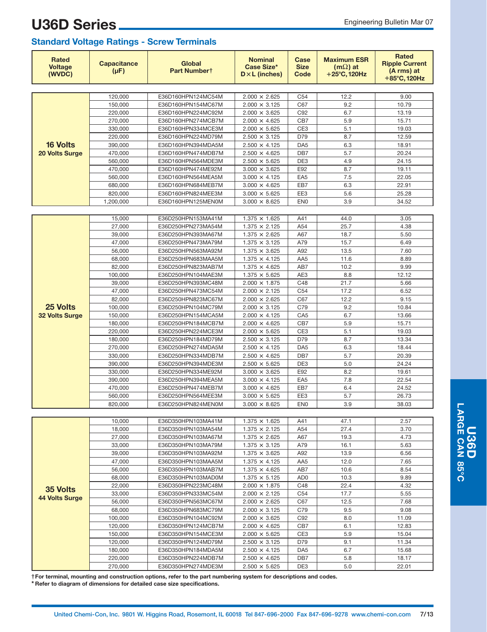| <b>Rated</b><br><b>Voltage</b><br>(WVDC) | <b>Capacitance</b><br>$(\mu F)$ | <b>Global</b><br>Part Numbert            | <b>Nominal</b><br><b>Case Size*</b><br>$D \times L$ (inches) | Case<br><b>Size</b><br>Code | <b>Maximum ESR</b><br>$(m\Omega)$ at<br>$+25^{\circ}$ C, 120Hz | <b>Rated</b><br><b>Ripple Current</b><br>(A rms) at<br>$+85^{\circ}$ C, 120Hz |
|------------------------------------------|---------------------------------|------------------------------------------|--------------------------------------------------------------|-----------------------------|----------------------------------------------------------------|-------------------------------------------------------------------------------|
|                                          |                                 |                                          |                                                              |                             |                                                                |                                                                               |
|                                          | 120,000                         | E36D160HPN124MC54M                       | $2.000 \times 2.625$                                         | C <sub>54</sub>             | 12.2                                                           | 9.00                                                                          |
|                                          | 150,000                         | E36D160HPN154MC67M                       | $2.000 \times 3.125$                                         | C67                         | 9.2                                                            | 10.79                                                                         |
|                                          | 220,000                         | E36D160HPN224MC92M                       | $2.000 \times 3.625$                                         | C92                         | 6.7                                                            | 13.19                                                                         |
|                                          | 270,000                         | E36D160HPN274MCB7M                       | $2.000 \times 4.625$                                         | CB7                         | 5.9                                                            | 15.71                                                                         |
|                                          | 330,000<br>220,000              | E36D160HPN334MCE3M<br>E36D160HPN224MD79M | $2.000 \times 5.625$<br>$2.500 \times 3.125$                 | CE3<br>D79                  | 5.1<br>8.7                                                     | 19.03<br>12.59                                                                |
| <b>16 Volts</b>                          | 390,000                         | E36D160HPN394MDA5M                       | $2.500 \times 4.125$                                         | DA <sub>5</sub>             | 6.3                                                            | 18.91                                                                         |
| <b>20 Volts Surge</b>                    | 470,000                         | E36D160HPN474MDB7M                       | $2.500 \times 4.625$                                         | DB7                         | 5.7                                                            | 20.24                                                                         |
|                                          | 560,000                         | E36D160HPN564MDE3M                       | $2.500 \times 5.625$                                         | DE3                         | 4.9                                                            | 24.15                                                                         |
|                                          | 470,000                         | E36D160HPN474ME92M                       | $3.000 \times 3.625$                                         | E92                         | 8.7                                                            | 19.11                                                                         |
|                                          | 560,000                         | E36D160HPN564MEA5M                       | $3.000 \times 4.125$                                         | EA <sub>5</sub>             | 7.5                                                            | 22.05                                                                         |
|                                          | 680,000                         | E36D160HPN684MEB7M                       | $3.000 \times 4.625$                                         | EB7                         | 6.3                                                            | 22.91                                                                         |
|                                          | 820,000                         | E36D160HPN824MEE3M                       | $3.000 \times 5.625$                                         | EE3                         | 5.6                                                            | 25.28                                                                         |
|                                          | 1,200,000                       | E36D160HPN125MEN0M                       | $3.000 \times 8.625$                                         | EN <sub>0</sub>             | 3.9                                                            | 34.52                                                                         |
|                                          |                                 |                                          |                                                              |                             |                                                                |                                                                               |
|                                          | 15,000                          | E36D250HPN153MA41M                       | $1.375 \times 1.625$                                         | A41                         | 44.0                                                           | 3.05                                                                          |
|                                          | 27,000                          | E36D250HPN273MA54M                       | $1.375 \times 2.125$                                         | A54                         | 25.7                                                           | 4.38                                                                          |
|                                          | 39,000                          | E36D250HPN393MA67M                       | $1.375 \times 2.625$                                         | A67                         | 18.7                                                           | 5.50                                                                          |
|                                          | 47,000                          | E36D250HPN473MA79M                       | $1.375 \times 3.125$                                         | A79                         | 15.7                                                           | 6.49                                                                          |
|                                          | 56,000                          | E36D250HPN563MA92M                       | $1.375 \times 3.625$                                         | A92                         | 13.5                                                           | 7.60                                                                          |
|                                          | 68,000                          | E36D250HPN683MAA5M                       | $1.375 \times 4.125$                                         | AA5                         | 11.6                                                           | 8.89                                                                          |
|                                          | 82,000                          | E36D250HPN823MAB7M                       | $1.375 \times 4.625$                                         | AB7                         | 10.2                                                           | 9.99                                                                          |
|                                          | 100,000                         | E36D250HPN104MAE3M                       | $1.375 \times 5.625$                                         | AE3                         | 8.8                                                            | 12.12                                                                         |
|                                          | 39,000                          | E36D250HPN393MC48M                       | $2.000 \times 1.875$                                         | C48                         | 21.7                                                           | 5.66                                                                          |
|                                          | 47,000                          | E36D250HPN473MC54M                       | $2.000 \times 2.125$                                         | C54                         | 17.2                                                           | 6.52                                                                          |
| 25 Volts                                 | 82,000                          | E36D250HPN823MC67M                       | $2.000 \times 2.625$                                         | C67                         | 12.2                                                           | 9.15                                                                          |
|                                          | 100,000                         | E36D250HPN104MC79M                       | $2.000 \times 3.125$                                         | C79                         | 9.2                                                            | 10.84                                                                         |
| <b>32 Volts Surge</b>                    | 150,000<br>180,000              | E36D250HPN154MCA5M<br>E36D250HPN184MCB7M | $2.000 \times 4.125$<br>$2.000 \times 4.625$                 | CA <sub>5</sub><br>CB7      | 6.7<br>5.9                                                     | 13.66<br>15.71                                                                |
|                                          | 220,000                         | E36D250HPN224MCE3M                       | $2.000 \times 5.625$                                         | CE3                         | 5.1                                                            | 19.03                                                                         |
|                                          | 180,000                         | E36D250HPN184MD79M                       | $2.500 \times 3.125$                                         | D79                         | 8.7                                                            | 13.34                                                                         |
|                                          | 270,000                         | E36D250HPN274MDA5M                       | $2.500 \times 4.125$                                         | DA <sub>5</sub>             | 6.3                                                            | 18.44                                                                         |
|                                          | 330,000                         | E36D250HPN334MDB7M                       | $2.500 \times 4.625$                                         | DB7                         | 5.7                                                            | 20.39                                                                         |
|                                          | 390,000                         | E36D250HPN394MDE3M                       | $2.500 \times 5.625$                                         | DE3                         | 5.0                                                            | 24.24                                                                         |
|                                          | 330,000                         | E36D250HPN334ME92M                       | $3.000 \times 3.625$                                         | E92                         | 8.2                                                            | 19.61                                                                         |
|                                          | 390.000                         | E36D250HPN394MEA5M                       | $3.000 \times 4.125$                                         | EA <sub>5</sub>             | 7.8                                                            | 22.54                                                                         |
|                                          | 470,000                         | E36D250HPN474MEB7M                       | $3.000 \times 4.625$                                         | EB7                         | 6.4                                                            | 24.52                                                                         |
|                                          | 560.000                         | E36D250HPN564MEE3M                       | $3.000 \times 5.625$                                         | EE3                         | 5.7                                                            | 26.73                                                                         |
|                                          | 820,000                         | E36D250HPN824MEN0M                       | $3.000 \times 8.625$                                         | EN <sub>0</sub>             | 3.9                                                            | 38.03                                                                         |
|                                          |                                 |                                          |                                                              |                             |                                                                |                                                                               |
|                                          | 10,000                          | E36D350HPN103MA41M                       | $1.375 \times 1.625$                                         | A41                         | 47.1                                                           | 2.57                                                                          |
|                                          | 18,000                          | E36D350HPN103MA54M                       | $1.375 \times 2.125$                                         | A54                         | 27.4                                                           | 3.70                                                                          |
|                                          | 27,000                          | E36D350HPN103MA67M                       | $1.375 \times 2.625$                                         | A67                         | 19.3                                                           | 4.73                                                                          |
|                                          | 33,000                          | E36D350HPN103MA79M                       | $1.375 \times 3.125$                                         | A79                         | 16.1                                                           | 5.63                                                                          |
|                                          | 39,000                          | E36D350HPN103MA92M                       | $1.375 \times 3.625$                                         | A92                         | 13.9                                                           | 6.56                                                                          |
|                                          | 47,000                          | E36D350HPN103MAA5M                       | $1.375 \times 4.125$                                         | AA5                         | 12.0                                                           | 7.65                                                                          |
|                                          | 56,000<br>68,000                | E36D350HPN103MAB7M<br>E36D350HPN103MAD0M | $1.375 \times 4.625$<br>$1.375 \times 5.125$                 | AB7<br>AD <sub>0</sub>      | 10.6<br>10.3                                                   | 8.54<br>9.89                                                                  |
|                                          | 22,000                          | E36D350HPN223MC48M                       | $2.000 \times 1.875$                                         | C48                         | 22.4                                                           | 4.32                                                                          |
| 35 Volts                                 | 33,000                          | E36D350HPN333MC54M                       | $2.000 \times 2.125$                                         | C54                         | 17.7                                                           | 5.55                                                                          |
| <b>44 Volts Surge</b>                    | 56,000                          | E36D350HPN563MC67M                       | $2.000 \times 2.625$                                         | C67                         | 12.5                                                           | 7.68                                                                          |
|                                          | 68,000                          | E36D350HPN683MC79M                       | $2.000 \times 3.125$                                         | C79                         | 9.5                                                            | 9.08                                                                          |
|                                          | 100,000                         | E36D350HPN104MC92M                       | $2.000 \times 3.625$                                         | C92                         | 8.0                                                            | 11.09                                                                         |
|                                          | 120,000                         | E36D350HPN124MCB7M                       | $2.000 \times 4.625$                                         | CB7                         | 6.1                                                            | 12.83                                                                         |
|                                          | 150,000                         | E36D350HPN154MCE3M                       | $2.000 \times 5.625$                                         | CE3                         | 5.9                                                            | 15.04                                                                         |
|                                          | 120,000                         | E36D350HPN124MD79M                       | $2.500 \times 3.125$                                         | D79                         | 9.1                                                            | 11.34                                                                         |
|                                          | 180,000                         | E36D350HPN184MDA5M                       | $2.500 \times 4.125$                                         | DA <sub>5</sub>             | 6.7                                                            | 15.68                                                                         |
|                                          | 220,000                         | E36D350HPN224MDB7M                       | $2.500 \times 4.625$                                         | DB7                         | 5.8                                                            | 18.17                                                                         |
|                                          | 270,000                         | E36D350HPN274MDE3M                       | $2.500 \times 5.625$                                         | DE3                         | 5.0                                                            | 22.01                                                                         |

**†For terminal, mounting and construction options, refer to the part numbering system for descriptions and codes.**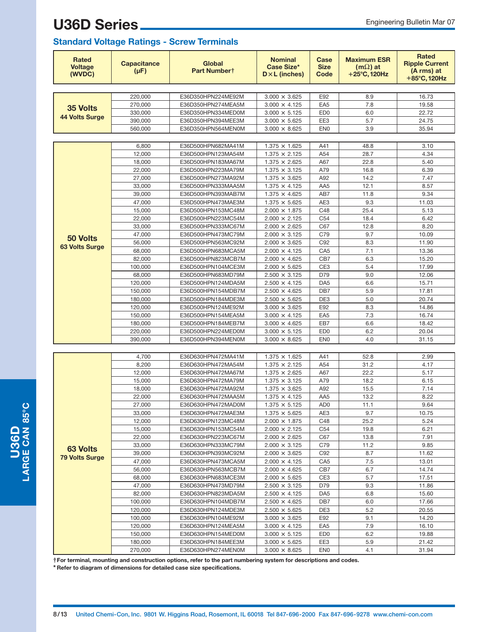#### **Standard Voltage Ratings - Screw Terminals**

| <b>Rated</b><br><b>Voltage</b><br>(WVDC) | <b>Capacitance</b><br>$(\mu F)$ | <b>Global</b><br>Part Numbert            | <b>Nominal</b><br>Case Size*<br>$D \times L$ (inches) | Case<br><b>Size</b><br>Code | <b>Maximum ESR</b><br>$(m\Omega)$ at<br>$+25^{\circ}$ C, 120Hz | <b>Rated</b><br><b>Ripple Current</b><br>(A rms) at<br>+85°C, 120Hz |
|------------------------------------------|---------------------------------|------------------------------------------|-------------------------------------------------------|-----------------------------|----------------------------------------------------------------|---------------------------------------------------------------------|
|                                          |                                 |                                          |                                                       |                             |                                                                |                                                                     |
|                                          | 220.000                         | E36D350HPN224ME92M                       | $3.000 \times 3.625$                                  | E92                         | 8.9                                                            | 16.73                                                               |
| 35 Volts                                 | 270.000                         | E36D350HPN274MEA5M                       | $3.000 \times 4.125$                                  | EA <sub>5</sub>             | 7.8                                                            | 19.58                                                               |
| <b>44 Volts Surge</b>                    | 330,000                         | E36D350HPN334MED0M                       | $3.000 \times 5.125$                                  | ED <sub>0</sub>             | 6.0                                                            | 22.72                                                               |
|                                          | 390,000                         | E36D350HPN394MEE3M                       | $3.000 \times 5.625$                                  | EE3                         | 5.7                                                            | 24.75                                                               |
|                                          | 560,000                         | E36D350HPN564MEN0M                       | $3.000 \times 8.625$                                  | EN <sub>0</sub>             | 3.9                                                            | 35.94                                                               |
|                                          | 6,800                           | E36D500HPN682MA41M                       | $1.375 \times 1.625$                                  | A41                         | 48.8                                                           | 3.10                                                                |
|                                          | 12,000                          | E36D500HPN123MA54M                       | $1.375 \times 2.125$                                  | A54                         | 28.7                                                           | 4.34                                                                |
|                                          | 18,000                          | E36D500HPN183MA67M                       | $1.375 \times 2.625$                                  | A67                         | 22.8                                                           | 5.40                                                                |
|                                          | 22,000                          | E36D500HPN223MA79M                       | $1.375 \times 3.125$                                  | A79                         | 16.8                                                           | 6.39                                                                |
|                                          | 27,000                          | E36D500HPN273MA92M                       | $1.375 \times 3.625$                                  | A92                         | 14.2                                                           | 7.47                                                                |
|                                          | 33,000                          | E36D500HPN333MAA5M                       | $1.375 \times 4.125$                                  | AA5                         | 12.1                                                           | 8.57                                                                |
|                                          | 39,000                          | E36D500HPN393MAB7M                       | $1.375 \times 4.625$                                  | AB7                         | 11.8                                                           | 9.34                                                                |
|                                          | 47,000                          | E36D500HPN473MAE3M                       | $1.375 \times 5.625$                                  | AE <sub>3</sub>             | 9.3                                                            | 11.03                                                               |
|                                          | 15,000                          | E36D500HPN153MC48M                       | $2.000 \times 1.875$                                  | C48                         | 25.4                                                           | 5.13                                                                |
|                                          | 22,000                          | E36D500HPN223MC54M                       | $2.000 \times 2.125$                                  | C <sub>54</sub>             | 18.4                                                           | 6.42                                                                |
|                                          | 33,000                          | E36D500HPN333MC67M                       | $2.000 \times 2.625$                                  | C67                         | 12.8                                                           | 8.20                                                                |
| 50 Volts                                 | 47,000                          | E36D500HPN473MC79M                       | $2.000 \times 3.125$                                  | C79                         | 9.7                                                            | 10.09                                                               |
| <b>63 Volts Surge</b>                    | 56,000                          | E36D500HPN563MC92M                       | $2.000 \times 3.625$                                  | C92                         | 8.3                                                            | 11.90                                                               |
|                                          | 68,000                          | E36D500HPN683MCA5M                       | $2.000 \times 4.125$                                  | CA <sub>5</sub>             | 7.1                                                            | 13.36                                                               |
|                                          | 82,000                          | E36D500HPN823MCB7M                       | $2.000 \times 4.625$                                  | CB7                         | 6.3                                                            | 15.20                                                               |
|                                          | 100,000                         | E36D500HPN104MCE3M                       | $2.000 \times 5.625$                                  | CE3                         | 5.4                                                            | 17.99                                                               |
|                                          | 68,000                          | E36D500HPN683MD79M                       | $2.500 \times 3.125$                                  | D79                         | 9.0                                                            | 12.06                                                               |
|                                          | 120,000                         | E36D500HPN124MDA5M                       | $2.500 \times 4.125$                                  | DA <sub>5</sub>             | 6.6                                                            | 15.71                                                               |
|                                          | 150,000                         | E36D500HPN154MDB7M                       | $2.500 \times 4.625$                                  | DB7                         | 5.9                                                            | 17.81                                                               |
|                                          | 180,000                         | E36D500HPN184MDE3M                       | $2.500 \times 5.625$                                  | DE <sub>3</sub>             | 5.0                                                            | 20.74                                                               |
|                                          | 120,000                         | E36D500HPN124ME92M                       | $3.000 \times 3.625$                                  | E92                         | 8.3<br>7.3                                                     | 14.86<br>16.74                                                      |
|                                          | 150,000<br>180,000              | E36D500HPN154MEA5M<br>E36D500HPN184MEB7M | $3.000 \times 4.125$<br>$3.000 \times 4.625$          | EA <sub>5</sub><br>EB7      | 6.6                                                            | 18.42                                                               |
|                                          | 220,000                         | E36D500HPN224MED0M                       | $3.000 \times 5.125$                                  | ED <sub>0</sub>             | 6.2                                                            | 20.04                                                               |
|                                          | 390,000                         | E36D500HPN394MEN0M                       | $3.000 \times 8.625$                                  | EN <sub>0</sub>             | 4.0                                                            | 31.15                                                               |
|                                          |                                 |                                          |                                                       |                             |                                                                |                                                                     |
|                                          | 4,700                           | E36D630HPN472MA41M                       | $1.375 \times 1.625$                                  | A41                         | 52.8                                                           | 2.99                                                                |
|                                          | 8,200                           | E36D630HPN472MA54M                       | $1.375 \times 2.125$                                  | A54                         | 31.2                                                           | 4.17                                                                |
|                                          | 12,000                          | E36D630HPN472MA67M                       | $1.375 \times 2.625$                                  | A67                         | 22.2                                                           | 5.17                                                                |
|                                          | 15,000                          | E36D630HPN472MA79M                       | $1.375 \times 3.125$                                  | A79                         | 18.2                                                           | 6.15                                                                |
|                                          | 18,000                          | E36D630HPN472MA92M                       | $1.375 \times 3.625$                                  | A92                         | 15.5                                                           | 7.14                                                                |
|                                          | 22,000                          | E36D630HPN472MAA5M                       | $1.375 \times 4.125$                                  | AA <sub>5</sub>             | 13.2                                                           | 8.22                                                                |
|                                          | 27,000                          | E36D630HPN472MAD0M                       | $1.375 \times 5.125$                                  | AD <sub>0</sub>             | 11.1                                                           | 9.64                                                                |
|                                          | 33,000                          | E36D630HPN472MAE3M                       | $1.375 \times 5.625$                                  | AE3                         | 9.7                                                            | 10.75                                                               |
|                                          | 12,000                          | E36D630HPN123MC48M                       | $2.000 \times 1.875$                                  | C48                         | 25.2                                                           | 5.24                                                                |
|                                          | 15,000                          | E36D630HPN153MC54M                       | $2.000 \times 2.125$                                  | C54                         | 19.8                                                           | 6.21                                                                |
|                                          | 22,000                          | E36D630HPN223MC67M                       | $2.000 \times 2.625$                                  | C67                         | 13.8                                                           | 7.91                                                                |
| 63 Volts                                 | 33,000                          | E36D630HPN333MC79M                       | $2.000 \times 3.125$                                  | C79                         | 11.2                                                           | 9.85                                                                |
| <b>79 Volts Surge</b>                    | 39,000                          | E36D630HPN393MC92M                       | $2.000 \times 3.625$                                  | C92                         | 8.7                                                            | 11.62                                                               |
|                                          | 47,000                          | E36D630HPN473MCA5M                       | $2.000 \times 4.125$                                  | CA <sub>5</sub>             | 7.5                                                            | 13.01                                                               |
|                                          | 56,000                          | E36D630HPN563MCB7M                       | $2.000 \times 4.625$                                  | CB7                         | 6.7                                                            | 14.74                                                               |
|                                          | 68,000                          | E36D630HPN683MCE3M                       | $2.000 \times 5.625$                                  | CE3                         | 5.7                                                            | 17.51                                                               |
|                                          | 47,000<br>82,000                | E36D630HPN473MD79M<br>E36D630HPN823MDA5M | $2.500 \times 3.125$                                  | D79<br>DA <sub>5</sub>      | 9.3<br>6.8                                                     | 11.86<br>15.60                                                      |
|                                          | 100,000                         | E36D630HPN104MDB7M                       | $2.500 \times 4.125$<br>$2.500 \times 4.625$          | DB7                         | 6.0                                                            | 17.66                                                               |
|                                          | 120,000                         | E36D630HPN124MDE3M                       | $2.500 \times 5.625$                                  | DE3                         | 5.2                                                            | 20.55                                                               |
|                                          | 100,000                         | E36D630HPN104ME92M                       | $3.000 \times 3.625$                                  | E92                         | 9.1                                                            | 14.20                                                               |
|                                          | 120,000                         | E36D630HPN124MEA5M                       | $3.000 \times 4.125$                                  | EA <sub>5</sub>             | 7.9                                                            | 16.10                                                               |
|                                          | 150,000                         | E36D630HPN154MED0M                       | $3.000 \times 5.125$                                  | ED <sub>0</sub>             | 6.2                                                            | 19.88                                                               |
|                                          | 180,000                         | E36D630HPN184MEE3M                       | $3.000 \times 5.625$                                  | EE3                         | 5.9                                                            | 21.42                                                               |
|                                          | 270,000                         | E36D630HPN274MEN0M                       | $3.000 \times 8.625$                                  | <b>EN0</b>                  | 4.1                                                            | 31.94                                                               |

**†For terminal, mounting and construction options, refer to the part numbering system for descriptions and codes.**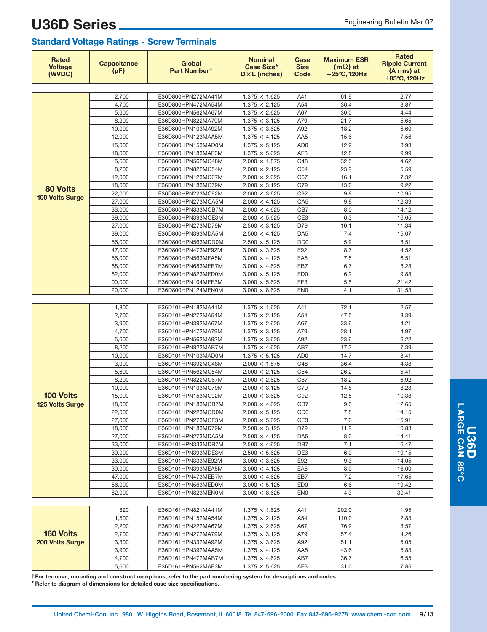**U36D Series**

| <b>Rated</b><br><b>Voltage</b><br>(WVDC) | <b>Capacitance</b><br>$(\mu F)$ | Global<br>Part Numbert                   | <b>Nominal</b><br><b>Case Size*</b><br>$D \times L$ (inches) | Case<br><b>Size</b><br>Code | <b>Maximum ESR</b><br>$(m\Omega)$ at<br>$+25^{\circ}$ C, 120Hz | <b>Rated</b><br><b>Ripple Current</b><br>(A rms) at<br>+85°C, 120Hz |
|------------------------------------------|---------------------------------|------------------------------------------|--------------------------------------------------------------|-----------------------------|----------------------------------------------------------------|---------------------------------------------------------------------|
|                                          |                                 |                                          |                                                              |                             |                                                                |                                                                     |
|                                          | 2,700                           | E36D800HPN272MA41M                       | $1.375 \times 1.625$                                         | A41                         | 61.9                                                           | 2.77                                                                |
|                                          | 4,700                           | E36D800HPN472MA54M                       | $1.375 \times 2.125$                                         | A54                         | 36.4                                                           | 3.87                                                                |
|                                          | 5,600                           | E36D800HPN562MA67M                       | $1.375 \times 2.625$                                         | A67                         | 30.0                                                           | 4.44                                                                |
|                                          | 8,200                           | E36D800HPN822MA79M                       | $1.375 \times 3.125$                                         | A79                         | 21.7                                                           | 5.65                                                                |
|                                          | 10.000                          | E36D800HPN103MA92M                       | $1.375 \times 3.625$                                         | A92                         | 18.2                                                           | 6.60                                                                |
|                                          | 12,000                          | E36D800HPN123MAA5M                       | $1.375 \times 4.125$                                         | AA5                         | 15.6                                                           | 7.56                                                                |
|                                          | 15,000                          | E36D800HPN153MAD0M                       | $1.375 \times 5.125$                                         | AD <sub>0</sub>             | 12.9                                                           | 8.93                                                                |
|                                          | 18,000                          | E36D800HPN183MAE3M                       | $1.375 \times 5.625$                                         | AE3<br>C48                  | 12.8<br>32.5                                                   | 9.99<br>4.62                                                        |
|                                          | 5,600<br>8,200                  | E36D800HPN562MC48M<br>E36D800HPN822MC54M | $2.000 \times 1.875$<br>$2.000 \times 2.125$                 | C <sub>54</sub>             | 23.2                                                           | 5.59                                                                |
|                                          | 12,000                          | E36D800HPN123MC67M                       | $2.000 \times 2.625$                                         | C67                         | 16.1                                                           | 7.32                                                                |
|                                          | 18,000                          | E36D800HPN183MC79M                       | $2.000 \times 3.125$                                         | C79                         | 13.0                                                           | 9.22                                                                |
| 80 Volts                                 | 22,000                          | E36D800HPN223MC92M                       | $2.000 \times 3.625$                                         | C92                         | 9.8                                                            | 10.95                                                               |
| 100 Volts Surge                          | 27,000                          | E36D800HPN273MCA5M                       | $2.000 \times 4.125$                                         | CA <sub>5</sub>             | 9.8                                                            | 12.39                                                               |
|                                          | 33,000                          | E36D800HPN333MCB7M                       | $2.000 \times 4.625$                                         | CB7                         | 8.0                                                            | 14.12                                                               |
|                                          | 39,000                          | E36D800HPN393MCE3M                       | $2.000 \times 5.625$                                         | CE <sub>3</sub>             | 6.3                                                            | 16.65                                                               |
|                                          | 27,000                          | E36D800HPN273MD79M                       | $2.500 \times 3.125$                                         | D79                         | 10.1                                                           | 11.34                                                               |
|                                          | 39,000                          | E36D800HPN393MDA5M                       | $2.500 \times 4.125$                                         | DA <sub>5</sub>             | 7.4                                                            | 15.07                                                               |
|                                          | 56,000                          | E36D800HPN563MDD0M                       | $2.500 \times 5.125$                                         | D <sub>D</sub> <sub>0</sub> | 5.9                                                            | 18.51                                                               |
|                                          | 47,000                          | E36D800HPN473ME92M                       | $3.000 \times 3.625$                                         | E92                         | 8.7                                                            | 14.52                                                               |
|                                          | 56,000                          | E36D800HPN563MEA5M                       | $3.000 \times 4.125$                                         | EA <sub>5</sub>             | 7.5                                                            | 16.51                                                               |
|                                          | 68,000                          | E36D800HPN683MEB7M                       | $3.000 \times 4.625$                                         | EB7                         | 6.7                                                            | 18.28                                                               |
|                                          | 82,000                          | E36D800HPN823MED0M                       | $3.000 \times 5.125$                                         | ED <sub>0</sub>             | 6.2                                                            | 19.88                                                               |
|                                          | 100,000                         | E36D800HPN104MEE3M                       | $3.000 \times 5.625$                                         | EE3                         | 5.5                                                            | 21.42                                                               |
|                                          | 120,000                         | E36D800HPN124MEN0M                       | $3.000 \times 8.625$                                         | EN <sub>0</sub>             | 4.1                                                            | 31.53                                                               |
|                                          |                                 |                                          |                                                              |                             |                                                                |                                                                     |
|                                          | 1,800                           | E36D101HPN182MA41M                       | $1.375 \times 1.625$                                         | A41                         | 72.1                                                           | 2.57                                                                |
|                                          | 2,700                           | E36D101HPN272MA54M                       | $1.375 \times 2.125$                                         | A54                         | 47.5                                                           | 3.39                                                                |
|                                          | 3,900                           | E36D101HPN392MA67M                       | $1.375 \times 2.625$                                         | A67                         | 33.6                                                           | 4.21                                                                |
|                                          | 4,700                           | E36D101HPN472MA79M                       | $1.375 \times 3.125$                                         | A79                         | 28.1                                                           | 4.97                                                                |
|                                          | 5,600                           | E36D101HPN562MA92M                       | $1.375 \times 3.625$                                         | A92                         | 23.6                                                           | 6.22                                                                |
|                                          | 8,200<br>10,000                 | E36D101HPN822MAB7M                       | $1.375 \times 4.625$                                         | AB7<br>AD <sub>0</sub>      | 17.2<br>14.7                                                   | 7.39<br>8.41                                                        |
|                                          | 3,900                           | E36D101HPN103MAD0M<br>E36D101HPN392MC48M | $1.375 \times 5.125$<br>$2.000 \times 1.875$                 | C48                         | 36.4                                                           | 4.38                                                                |
|                                          | 5,600                           | E36D101HPN562MC54M                       | $2.000 \times 2.125$                                         | C <sub>54</sub>             | 26.2                                                           | 5.41                                                                |
|                                          | 8,200                           | E36D101HPN822MC67M                       | $2.000 \times 2.625$                                         | C67                         | 18.2                                                           | 6.92                                                                |
|                                          | 10,000                          | E36D101HPN103MC79M                       | $2.000 \times 3.125$                                         | C79                         | 14.8                                                           | 8.23                                                                |
| 100 Volts                                | 15,000                          | E36D101HPN153MC92M                       | $2.000 \times 3.625$                                         | C92                         | 12.5                                                           | 10.38                                                               |
| 125 Volts Surge                          | 18,000                          | E36D101HPN183MCB7M                       | $2.000 \times 4.625$                                         | CB7                         | 9.0                                                            | 12.65                                                               |
|                                          | 22,000                          | E36D101HPN223MCD0M                       | $2.000 \times 5.125$                                         | CD <sub>0</sub>             | $7.8\,$                                                        | 14.15                                                               |
|                                          | 27,000                          | E36D101HPN273MCE3M                       | $2.000 \times 5.625$                                         | CE <sub>3</sub>             | 7.6                                                            | 15.91                                                               |
|                                          | 18,000                          | E36D101HPN183MD79M                       | $2.500 \times 3.125$                                         | D79                         | 11.2                                                           | 10.83                                                               |
|                                          | 27,000                          | E36D101HPN273MDA5M                       | $2.500 \times 4.125$                                         | DA <sub>5</sub>             | 8.0                                                            | 14.41                                                               |
|                                          | 33,000                          | E36D101HPN333MDB7M                       | $2.500 \times 4.625$                                         | DB7                         | 7.1                                                            | 16.47                                                               |
|                                          | 39,000                          | E36D101HPN393MDE3M                       | $2.500 \times 5.625$                                         | DE3                         | 6.0                                                            | 19.15                                                               |
|                                          | 33,000                          | E36D101HPN333ME92M                       | $3.000 \times 3.625$                                         | E92                         | 9.3                                                            | 14.05                                                               |
|                                          | 39,000                          | E36D101HPN393MEA5M                       | $3.000 \times 4.125$                                         | EA <sub>5</sub>             | 8.0                                                            | 16.00                                                               |
|                                          | 47,000                          | E36D101HPN473MEB7M                       | $3.000 \times 4.625$                                         | EB7                         | 7.2                                                            | 17.65                                                               |
|                                          | 56,000                          | E36D101HPN563MED0M                       | $3.000 \times 5.125$                                         | ED <sub>0</sub>             | 6.6                                                            | 19.42                                                               |
|                                          | 82,000                          | E36D101HPN823MEN0M                       | $3.000 \times 8.625$                                         | <b>EN0</b>                  | 4.3                                                            | 30.41                                                               |
|                                          |                                 |                                          |                                                              |                             |                                                                |                                                                     |
|                                          | 820                             | E36D161HPN821MA41M                       | $1.375 \times 1.625$                                         | A41                         | 202.0                                                          | 1.95                                                                |
|                                          | 1,500                           | E36D161HPN152MA54M                       | $1.375 \times 2.125$                                         | A54                         | 110.0                                                          | 2.83                                                                |
|                                          | 2,200                           | E36D161HPN222MA67M                       | $1.375 \times 2.625$                                         | A67                         | 76.9                                                           | 3.57                                                                |
| 160 Volts                                | 2,700                           | E36D161HPN272MA79M                       | $1.375 \times 3.125$                                         | A79                         | 57.4                                                           | 4.26                                                                |
| 200 Volts Surge                          | 3,300                           | E36D161HPN332MA92M                       | $1.375 \times 3.625$                                         | A92                         | 51.1                                                           | 5.05                                                                |
|                                          | 3,900<br>4,700                  | E36D161HPN392MAA5M<br>E36D161HPN472MAB7M | $1.375 \times 4.125$<br>$1.375 \times 4.625$                 | AA <sub>5</sub><br>AB7      | 43.6<br>36.7                                                   | 5.83<br>6.55                                                        |
|                                          | 5,600                           | E36D161HPN562MAE3M                       | $1.375 \times 5.625$                                         | AE3                         | 31.0                                                           | 7.85                                                                |
|                                          |                                 |                                          |                                                              |                             |                                                                |                                                                     |

**†For terminal, mounting and construction options, refer to the part numbering system for descriptions and codes.**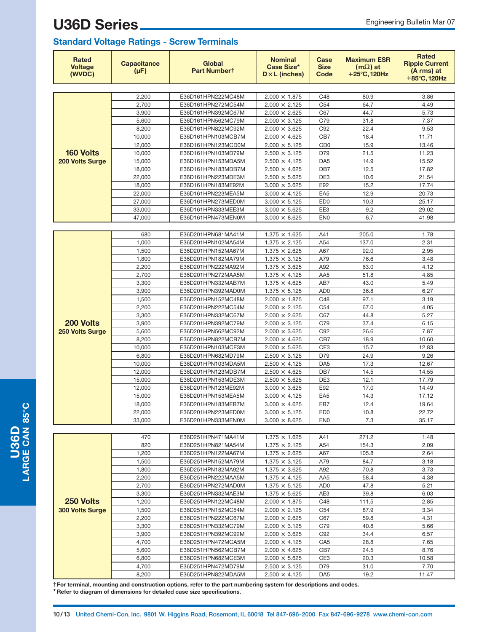#### **Standard Voltage Ratings - Screw Terminals**

| <b>Rated</b><br><b>Voltage</b><br>(WVDC) | <b>Capacitance</b><br>$(\mu F)$ | Global<br>Part Numbert                   | <b>Nominal</b><br><b>Case Size*</b><br>$D \times L$ (inches) | Case<br><b>Size</b><br>Code        | <b>Maximum ESR</b><br>$(m\Omega)$ at<br>$+25^{\circ}$ C, 120Hz | <b>Rated</b><br><b>Ripple Current</b><br>(A rms) at<br>+85°C, 120Hz |
|------------------------------------------|---------------------------------|------------------------------------------|--------------------------------------------------------------|------------------------------------|----------------------------------------------------------------|---------------------------------------------------------------------|
|                                          |                                 |                                          |                                                              |                                    |                                                                |                                                                     |
|                                          | 2,200                           | E36D161HPN222MC48M                       | $2.000 \times 1.875$                                         | C48                                | 80.9                                                           | 3.86                                                                |
|                                          | 2,700                           | E36D161HPN272MC54M                       | $2.000 \times 2.125$                                         | C <sub>54</sub>                    | 64.7                                                           | 4.49                                                                |
|                                          | 3,900                           | E36D161HPN392MC67M                       | $2.000 \times 2.625$                                         | C67                                | 44.7                                                           | 5.73                                                                |
|                                          | 5,600                           | E36D161HPN562MC79M                       | $2.000 \times 3.125$                                         | C79                                | 31.8                                                           | 7.37                                                                |
|                                          | 8,200                           | E36D161HPN822MC92M                       | $2.000 \times 3.625$                                         | C92                                | 22.4                                                           | 9.53                                                                |
|                                          | 10,000                          | E36D161HPN103MCB7M                       | $2.000 \times 4.625$                                         | CB7                                | 18.4                                                           | 11.71                                                               |
| <b>160 Volts</b>                         | 12,000<br>10,000                | E36D161HPN123MCD0M                       | $2.000 \times 5.125$                                         | C <sub>D</sub> <sub>0</sub><br>D79 | 15.9<br>21.5                                                   | 13.46<br>11.23                                                      |
| 200 Volts Surge                          | 15,000                          | E36D161HPN103MD79M<br>E36D161HPN153MDA5M | $2.500 \times 3.125$<br>$2.500 \times 4.125$                 | DA <sub>5</sub>                    | 14.9                                                           | 15.52                                                               |
|                                          | 18,000                          | E36D161HPN183MDB7M                       | $2.500 \times 4.625$                                         | DB7                                | 12.5                                                           | 17.82                                                               |
|                                          | 22,000                          | E36D161HPN223MDE3M                       | $2.500 \times 5.625$                                         | DE3                                | 10.6                                                           | 21.54                                                               |
|                                          | 18,000                          | E36D161HPN183ME92M                       | $3.000 \times 3.625$                                         | E92                                | 15.2                                                           | 17.74                                                               |
|                                          | 22,000                          | E36D161HPN223MEA5M                       | $3.000 \times 4.125$                                         | EA <sub>5</sub>                    | 12.9                                                           | 20.73                                                               |
|                                          | 27,000                          | E36D161HPN273MED0M                       | $3.000 \times 5.125$                                         | ED <sub>0</sub>                    | 10.3                                                           | 25.17                                                               |
|                                          | 33,000                          | E36D161HPN333MEE3M                       | $3.000 \times 5.625$                                         | EE3                                | 9.2                                                            | 29.02                                                               |
|                                          | 47,000                          | E36D161HPN473MEN0M                       | $3.000 \times 8.625$                                         | EN <sub>0</sub>                    | 6.7                                                            | 41.98                                                               |
|                                          |                                 |                                          |                                                              |                                    |                                                                |                                                                     |
|                                          | 680                             | E36D201HPN681MA41M                       | $1.375 \times 1.625$                                         | A41                                | 205.0                                                          | 1.78                                                                |
|                                          | 1,000                           | E36D201HPN102MA54M                       | $1.375 \times 2.125$                                         | A54                                | 137.0                                                          | 2.31                                                                |
|                                          | 1,500                           | E36D201HPN152MA67M                       | $1.375 \times 2.625$                                         | A67                                | 92.0                                                           | 2.95                                                                |
|                                          | 1,800                           | E36D201HPN182MA79M                       | $1.375 \times 3.125$                                         | A79                                | 76.6                                                           | 3.48                                                                |
|                                          | 2,200                           | E36D201HPN222MA92M                       | $1.375 \times 3.625$                                         | A92                                | 63.0                                                           | 4.12                                                                |
|                                          | 2,700                           | E36D201HPN272MAA5M                       | $1.375 \times 4.125$                                         | AA5                                | 51.8                                                           | 4.85                                                                |
|                                          | 3,300                           | E36D201HPN332MAB7M                       | $1.375 \times 4.625$                                         | AB7                                | 43.0                                                           | 5.49                                                                |
|                                          | 3,900                           | E36D201HPN392MAD0M                       | $1.375 \times 5.125$                                         | AD <sub>0</sub>                    | 36.8                                                           | 6.27                                                                |
|                                          | 1,500                           | E36D201HPN152MC48M                       | $2.000 \times 1.875$                                         | C48                                | 97.1                                                           | 3.19                                                                |
|                                          | 2,200                           | E36D201HPN222MC54M                       | $2.000 \times 2.125$                                         | C54                                | 67.0                                                           | 4.05                                                                |
|                                          | 3,300                           | E36D201HPN332MC67M                       | $2.000 \times 2.625$                                         | C67                                | 44.8                                                           | 5.27                                                                |
| 200 Volts                                | 3,900                           | E36D201HPN392MC79M                       | $2.000 \times 3.125$                                         | C79                                | 37.4                                                           | 6.15                                                                |
| 250 Volts Surge                          | 5,600                           | E36D201HPN562MC92M                       | $2.000 \times 3.625$                                         | C92                                | 26.6                                                           | 7.87                                                                |
|                                          | 8,200                           | E36D201HPN822MCB7M                       | $2.000 \times 4.625$                                         | CB7                                | 18.9                                                           | 10.60                                                               |
|                                          | 10,000                          | E36D201HPN103MCE3M                       | $2.000 \times 5.625$                                         | CE3                                | 15.7                                                           | 12.83                                                               |
|                                          | 6,800                           | E36D201HPN682MD79M                       | $2.500 \times 3.125$                                         | D79                                | 24.9                                                           | 9.26                                                                |
|                                          | 10,000                          | E36D201HPN103MDA5M                       | $2.500 \times 4.125$                                         | DA <sub>5</sub>                    | 17.3                                                           | 12.67                                                               |
|                                          | 12,000                          | E36D201HPN123MDB7M                       | $2.500 \times 4.625$                                         | DB7                                | 14.5                                                           | 14.55                                                               |
|                                          | 15,000                          | E36D201HPN153MDE3M                       | $2.500 \times 5.625$                                         | DE3                                | 12.1                                                           | 17.79                                                               |
|                                          | 12,000                          | E36D201HPN123ME92M                       | $3.000 \times 3.625$                                         | E92                                | 17.0                                                           | 14.49                                                               |
|                                          | 15,000                          | E36D201HPN153MEA5M                       | $3.000 \times 4.125$                                         | EA <sub>5</sub><br>EB7             | 14.3<br>12.4                                                   | 17.12                                                               |
|                                          | 18,000<br>22.000                | E36D201HPN183MEB7M                       | $3.000 \times 4.625$                                         | ED <sub>0</sub>                    | 10.8                                                           | 19.64<br>22.72                                                      |
|                                          | 33,000                          | E36D201HPN223MED0M<br>E36D201HPN333MEN0M | $3.000 \times 5.125$<br>$3.000 \times 8.625$                 | EN <sub>0</sub>                    | 7.3                                                            | 35.17                                                               |
|                                          |                                 |                                          |                                                              |                                    |                                                                |                                                                     |
|                                          | 470                             | E36D251HPN471MA41M                       | $1.375 \times 1.625$                                         | A41                                | 271.2                                                          | 1.48                                                                |
|                                          | 820                             | E36D251HPN821MA54M                       | $1.375 \times 2.125$                                         | A54                                | 154.3                                                          | 2.09                                                                |
|                                          | 1,200                           | E36D251HPN122MA67M                       | $1.375 \times 2.625$                                         | A67                                | 105.8                                                          | 2.64                                                                |
|                                          | 1,500                           | E36D251HPN152MA79M                       | $1.375 \times 3.125$                                         | A79                                | 84.7                                                           | 3.18                                                                |
|                                          | 1,800                           | E36D251HPN182MA92M                       | $1.375 \times 3.625$                                         | A92                                | 70.8                                                           | 3.73                                                                |
|                                          | 2,200                           | E36D251HPN222MAA5M                       | $1.375 \times 4.125$                                         | AA5                                | 58.4                                                           | 4.38                                                                |
|                                          | 2,700                           | E36D251HPN272MAD0M                       | $1.375 \times 5.125$                                         | AD0                                | 47.8                                                           | 5.21                                                                |
|                                          | 3,300                           | E36D251HPN332MAE3M                       | $1.375 \times 5.625$                                         | AE3                                | 39.8                                                           | 6.03                                                                |
| 250 Volts                                | 1,200                           | E36D251HPN122MC48M                       | $2.000 \times 1.875$                                         | C48                                | 111.5                                                          | 2.85                                                                |
| 300 Volts Surge                          | 1,500                           | E36D251HPN152MC54M                       | $2.000 \times 2.125$                                         | C54                                | 87.9                                                           | 3.34                                                                |
|                                          | 2,200                           | E36D251HPN222MC67M                       | $2.000 \times 2.625$                                         | C67                                | 59.8                                                           | 4.31                                                                |
|                                          | 3,300                           | E36D251HPN332MC79M                       | $2.000 \times 3.125$                                         | C79                                | 40.8                                                           | 5.66                                                                |
|                                          | 3,900                           | E36D251HPN392MC92M                       | $2.000 \times 3.625$                                         | C92                                | 34.4                                                           | 6.57                                                                |
|                                          | 4,700                           | E36D251HPN472MCA5M                       | $2.000 \times 4.125$                                         | CA <sub>5</sub>                    | 28.8                                                           | 7.65                                                                |
|                                          | 5,600                           | E36D251HPN562MCB7M                       | $2.000 \times 4.625$                                         | CB7                                | 24.5                                                           | 8.76                                                                |
|                                          | 6,800                           | E36D251HPN682MCE3M                       | $2.000 \times 5.625$                                         | CE3                                | 20.3                                                           | 10.58                                                               |
|                                          | 4,700                           | E36D251HPN472MD79M                       | $2.500 \times 3.125$                                         | D79                                | 31.0                                                           | 7.70                                                                |
|                                          | 8,200                           | E36D251HPN822MDA5M                       | $2.500 \times 4.125$                                         | DA <sub>5</sub>                    | 19.2                                                           | 11.47                                                               |

**†For terminal, mounting and construction options, refer to the part numbering system for descriptions and codes. \* Refer to diagram of dimensions for detailed case size specifications.**

 $\mathbf{\mathbf{\mathbf{\mathbf{C}}}}$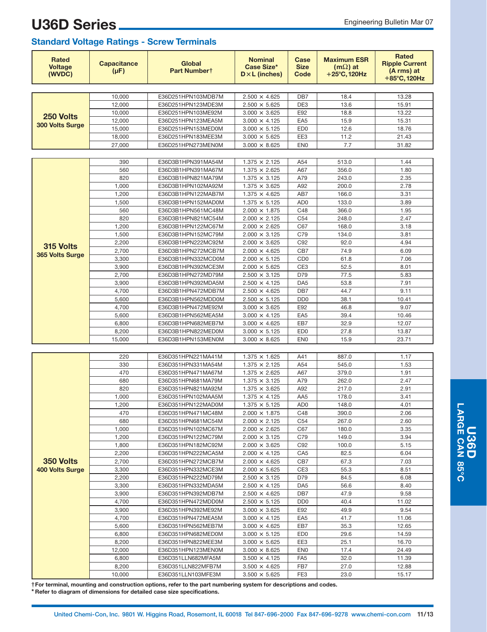**U36D Series**

| <b>Rated</b><br><b>Voltage</b><br>(WVDC) | <b>Capacitance</b><br>$(\mu F)$ | Global<br>Part Numbert                   | <b>Nominal</b><br>Case Size*<br>$D \times L$ (inches) | Case<br><b>Size</b><br>Code        | <b>Maximum ESR</b><br>$(m\Omega)$ at<br>$+25^{\circ}$ C, 120Hz | <b>Rated</b><br><b>Ripple Current</b><br>(A rms) at<br>+85°C, 120Hz |
|------------------------------------------|---------------------------------|------------------------------------------|-------------------------------------------------------|------------------------------------|----------------------------------------------------------------|---------------------------------------------------------------------|
|                                          |                                 |                                          |                                                       |                                    |                                                                |                                                                     |
|                                          | 10,000                          | E36D251HPN103MDB7M                       | $2.500 \times 4.625$                                  | DB7                                | 18.4                                                           | 13.28                                                               |
|                                          | 12,000                          | E36D251HPN123MDE3M                       | $2.500 \times 5.625$                                  | DE3                                | 13.6                                                           | 15.91                                                               |
| 250 Volts                                | 10,000                          | E36D251HPN103ME92M                       | $3.000 \times 3.625$                                  | E92                                | 18.8                                                           | 13.22                                                               |
| 300 Volts Surge                          | 12,000                          | E36D251HPN123MEA5M                       | $3.000 \times 4.125$                                  | EA <sub>5</sub>                    | 15.9                                                           | 15.31                                                               |
|                                          | 15,000                          | E36D251HPN153MED0M                       | $3.000 \times 5.125$                                  | ED <sub>0</sub>                    | 12.6                                                           | 18.76                                                               |
|                                          | 18,000                          | E36D251HPN183MEE3M<br>E36D251HPN273MEN0M | $3.000 \times 5.625$<br>$3.000 \times 8.625$          | EE3<br>EN <sub>0</sub>             | 11.2<br>7.7                                                    | 21.43<br>31.82                                                      |
|                                          | 27,000                          |                                          |                                                       |                                    |                                                                |                                                                     |
|                                          | 390                             | E36D3B1HPN391MA54M                       | $1.375 \times 2.125$                                  | A54                                | 513.0                                                          | 1.44                                                                |
|                                          | 560                             | E36D3B1HPN391MA67M                       | $1.375 \times 2.625$                                  | A67                                | 356.0                                                          | 1.80                                                                |
|                                          | 820                             | E36D3B1HPN821MA79M                       | $1.375 \times 3.125$                                  | A79                                | 243.0                                                          | 2.35                                                                |
|                                          | 1,000                           | E36D3B1HPN102MA92M                       | $1.375 \times 3.625$                                  | A92                                | 200.0                                                          | 2.78                                                                |
|                                          | 1,200                           | E36D3B1HPN122MAB7M                       | $1.375 \times 4.625$                                  | AB7                                | 166.0                                                          | 3.31                                                                |
|                                          | 1,500                           | E36D3B1HPN152MAD0M                       | $1.375 \times 5.125$                                  | AD <sub>0</sub>                    | 133.0                                                          | 3.89                                                                |
|                                          | 560                             | E36D3B1HPN561MC48M                       | $2.000 \times 1.875$                                  | C48                                | 366.0                                                          | 1.95                                                                |
|                                          | 820                             | E36D3B1HPN821MC54M                       | $2.000 \times 2.125$                                  | C <sub>54</sub>                    | 248.0                                                          | 2.47                                                                |
|                                          | 1,200                           | E36D3B1HPN122MC67M                       | $2.000 \times 2.625$                                  | C67                                | 168.0                                                          | 3.18                                                                |
|                                          | 1,500                           | E36D3B1HPN152MC79M                       | $2.000 \times 3.125$                                  | C79                                | 134.0                                                          | 3.81                                                                |
| 315 Volts                                | 2,200                           | E36D3B1HPN222MC92M                       | $2.000 \times 3.625$                                  | C92                                | 92.0                                                           | 4.94                                                                |
| 365 Volts Surge                          | 2,700                           | E36D3B1HPN272MCB7M                       | $2.000 \times 4.625$                                  | CB7                                | 74.9                                                           | 6.09                                                                |
|                                          | 3,300                           | E36D3B1HPN332MCD0M                       | $2.000 \times 5.125$                                  | C <sub>D</sub> <sub>0</sub>        | 61.8                                                           | 7.06                                                                |
|                                          | 3,900                           | E36D3B1HPN392MCE3M                       | $2.000 \times 5.625$                                  | CE3                                | 52.5                                                           | 8.01                                                                |
|                                          | 2,700                           | E36D3B1HPN272MD79M                       | $2.500 \times 3.125$                                  | D79                                | 77.5                                                           | 5.83                                                                |
|                                          | 3,900                           | E36D3B1HPN392MDA5M                       | $2.500 \times 4.125$                                  | DA <sub>5</sub>                    | 53.8                                                           | 7.91                                                                |
|                                          | 4,700                           | E36D3B1HPN472MDB7M                       | $2.500 \times 4.625$                                  | DB7                                | 44.7                                                           | 9.11                                                                |
|                                          | 5,600                           | E36D3B1HPN562MDD0M                       | $2.500 \times 5.125$                                  | D <sub>D</sub> <sub>0</sub><br>E92 | 38.1                                                           | 10.41<br>9.07                                                       |
|                                          | 4,700<br>5,600                  | E36D3B1HPN472ME92M<br>E36D3B1HPN562MEA5M | $3.000 \times 3.625$<br>$3.000 \times 4.125$          | EA <sub>5</sub>                    | 46.8<br>39.4                                                   | 10.46                                                               |
|                                          | 6,800                           | E36D3B1HPN682MEB7M                       | $3.000 \times 4.625$                                  | EB7                                | 32.9                                                           | 12.07                                                               |
|                                          | 8,200                           | E36D3B1HPN822MED0M                       | $3.000 \times 5.125$                                  | ED <sub>0</sub>                    | 27.8                                                           | 13.87                                                               |
|                                          | 15,000                          | E36D3B1HPN153MEN0M                       | $3.000 \times 8.625$                                  | EN <sub>0</sub>                    | 15.9                                                           | 23.71                                                               |
|                                          |                                 |                                          |                                                       |                                    |                                                                |                                                                     |
|                                          | 220                             | E36D351HPN221MA41M                       | $1.375 \times 1.625$                                  | A41                                | 887.0                                                          | 1.17                                                                |
|                                          | 330                             | E36D351HPN331MA54M                       | $1.375 \times 2.125$                                  | A54                                | 545.0                                                          | 1.53                                                                |
|                                          | 470                             | E36D351HPN471MA67M                       | $1.375 \times 2.625$                                  | A67                                | 379.0                                                          | 1.91                                                                |
|                                          | 680                             | E36D351HPN681MA79M                       | $1.375 \times 3.125$                                  | A79                                | 262.0                                                          | 2.47                                                                |
|                                          | 820                             | E36D351HPN821MA92M                       | $1.375 \times 3.625$                                  | A92                                | 217.0                                                          | 2.91                                                                |
|                                          | 1,000                           | E36D351HPN102MAA5M                       | $1.375 \times 4.125$                                  | AA5                                | 178.0                                                          | 3.41                                                                |
|                                          | 1,200                           | E36D351HPN122MAD0M                       | $1.375 \times 5.125$                                  | AD <sub>0</sub>                    | 148.0                                                          | 4.01                                                                |
|                                          | 470                             | E36D351HPN471MC48M                       | $2.000 \times 1.875$                                  | C48                                | 390.0                                                          | 2.06                                                                |
|                                          | 680                             | E36D351HPN681MC54M                       | $2.000 \times 2.125$                                  | C <sub>54</sub>                    | 267.0                                                          | 2.60                                                                |
|                                          | 1,000                           | E36D351HPN102MC67M                       | $2.000 \times 2.625$                                  | C67                                | 180.0                                                          | 3.35                                                                |
|                                          | 1,200                           | E36D351HPN122MC79M                       | $2.000 \times 3.125$                                  | C79                                | 149.0                                                          | 3.94                                                                |
|                                          | 1,800                           | E36D351HPN182MC92M                       | $2.000 \times 3.625$                                  | C92                                | 100.0                                                          | 5.15<br>6.04                                                        |
| 350 Volts                                | 2,200<br>2,700                  | E36D351HPN222MCA5M<br>E36D351HPN272MCB7M | $2.000 \times 4.125$<br>$2.000 \times 4.625$          | CA <sub>5</sub><br>CB7             | 82.5<br>67.3                                                   | 7.03                                                                |
| <b>400 Volts Surge</b>                   | 3,300                           | E36D351HPN332MCE3M                       | $2.000 \times 5.625$                                  | CE <sub>3</sub>                    | 55.3                                                           | 8.51                                                                |
|                                          | 2,200                           | E36D351HPN222MD79M                       | $2.500 \times 3.125$                                  | D79                                | 84.5                                                           | 6.08                                                                |
|                                          | 3,300                           | E36D351HPN332MDA5M                       | $2.500 \times 4.125$                                  | DA <sub>5</sub>                    | 56.6                                                           | 8.40                                                                |
|                                          | 3,900                           | E36D351HPN392MDB7M                       | $2.500 \times 4.625$                                  | DB7                                | 47.9                                                           | 9.58                                                                |
|                                          | 4,700                           | E36D351HPN472MDD0M                       | $2.500 \times 5.125$                                  | D <sub>D</sub> <sub>0</sub>        | 40.4                                                           | 11.02                                                               |
|                                          | 3,900                           | E36D351HPN392ME92M                       | $3.000 \times 3.625$                                  | E92                                | 49.9                                                           | 9.54                                                                |
|                                          | 4,700                           | E36D351HPN472MEA5M                       | $3.000 \times 4.125$                                  | EA <sub>5</sub>                    | 41.7                                                           | 11.06                                                               |
|                                          | 5,600                           | E36D351HPN562MEB7M                       | $3.000 \times 4.625$                                  | EB7                                | 35.3                                                           | 12.65                                                               |
|                                          | 6,800                           | E36D351HPN682MED0M                       | $3.000 \times 5.125$                                  | ED <sub>0</sub>                    | 29.6                                                           | 14.59                                                               |
|                                          | 8,200                           | E36D351HPN822MEE3M                       | $3.000 \times 5.625$                                  | EE3                                | 25.1                                                           | 16.70                                                               |
|                                          | 12,000                          | E36D351HPN123MEN0M                       | $3.000 \times 8.625$                                  | <b>EN0</b>                         | 17.4                                                           | 24.49                                                               |
|                                          | 6,800                           | E36D351LLN682MFA5M                       | $3.500 \times 4.125$                                  | FA <sub>5</sub>                    | 32.0                                                           | 11.39                                                               |
|                                          | 8,200                           | E36D351LLN822MFB7M                       | $3.500 \times 4.625$                                  | FB7                                | 27.0                                                           | 12.88                                                               |
|                                          | 10,000                          | E36D351LLN103MFE3M                       | $3.500 \times 5.625$                                  | FE3                                | 23.0                                                           | 15.17                                                               |

**†For terminal, mounting and construction options, refer to the part numbering system for descriptions and codes. \* Refer to diagram of dimensions for detailed case size specifications.**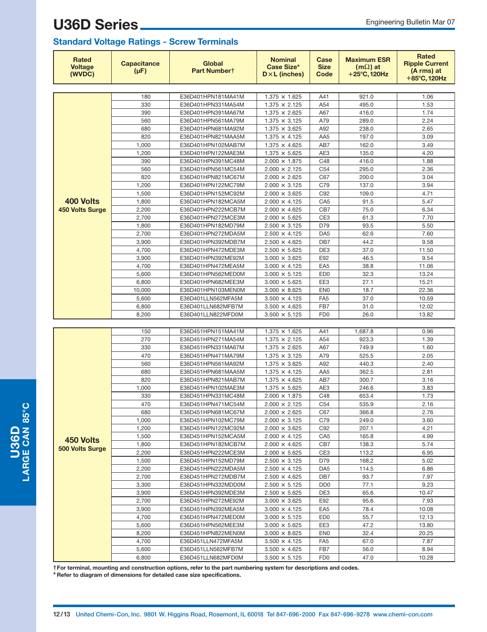#### **Standard Voltage Ratings - Screw Terminals**

| Rated<br><b>Voltage</b><br>(WVDC) | <b>Capacitance</b><br>$(\mu F)$ | <b>Global</b><br>Part Numbert            | <b>Nominal</b><br><b>Case Size*</b><br>$D \times L$ (inches) | Case<br><b>Size</b><br>Code        | <b>Maximum ESR</b><br>$(m\Omega)$ at<br>$+25^{\circ}$ C, 120Hz | Rated<br><b>Ripple Current</b><br>(A rms) at<br>+85°C, 120Hz |
|-----------------------------------|---------------------------------|------------------------------------------|--------------------------------------------------------------|------------------------------------|----------------------------------------------------------------|--------------------------------------------------------------|
|                                   |                                 |                                          |                                                              |                                    |                                                                |                                                              |
|                                   | 180                             | E36D401HPN181MA41M                       | $1.375 \times 1.625$                                         | A41                                | 921.0                                                          | 1.06                                                         |
|                                   | 330                             | E36D401HPN331MA54M                       | $1.375 \times 2.125$                                         | A54                                | 495.0                                                          | 1.53                                                         |
|                                   | 390                             | E36D401HPN391MA67M                       | $1.375 \times 2.625$                                         | A67                                | 416.0                                                          | 1.74                                                         |
|                                   | 560                             | E36D401HPN561MA79M                       | $1.375 \times 3.125$                                         | A79                                | 289.0                                                          | 2.24                                                         |
|                                   | 680                             | E36D401HPN681MA92M                       | $1.375 \times 3.625$                                         | A92                                | 238.0                                                          | 2.65                                                         |
|                                   | 820                             | E36D401HPN821MAA5M                       | $1.375 \times 4.125$                                         | AA5                                | 197.0                                                          | 3.09                                                         |
|                                   | 1,000                           | E36D401HPN102MAB7M                       | $1.375 \times 4.625$                                         | AB7                                | 162.0                                                          | 3.49                                                         |
|                                   | 1,200                           | E36D401HPN122MAE3M                       | $1.375 \times 5.625$                                         | AE3                                | 135.0                                                          | 4.20                                                         |
|                                   | 390                             | E36D401HPN391MC48M                       | $2.000 \times 1.875$                                         | C48                                | 416.0                                                          | 1.88                                                         |
|                                   | 560                             | E36D401HPN561MC54M                       | $2.000 \times 2.125$                                         | C <sub>54</sub>                    | 295.0                                                          | 2.36                                                         |
|                                   | 820                             | E36D401HPN821MC67M                       | $2.000 \times 2.625$                                         | C67                                | 200.0                                                          | 3.04                                                         |
|                                   | 1,200                           | E36D401HPN122MC79M                       | $2.000 \times 3.125$                                         | C79                                | 137.0                                                          | 3.94                                                         |
|                                   | 1,500                           | E36D401HPN152MC92M                       | $2.000 \times 3.625$                                         | C92                                | 109.0                                                          | 4.71                                                         |
| 400 Volts                         | 1,800                           | E36D401HPN182MCA5M                       | $2.000 \times 4.125$                                         | CA <sub>5</sub>                    | 91.5                                                           | 5.47                                                         |
| <b>450 Volts Surge</b>            | 2,200                           | E36D401HPN222MCB7M                       | $2.000 \times 4.625$                                         | CB7                                | 75.0                                                           | 6.34                                                         |
|                                   | 2,700                           | E36D401HPN272MCE3M                       | $2.000 \times 5.625$                                         | CE <sub>3</sub>                    | 61.3                                                           | 7.70                                                         |
|                                   | 1,800                           | E36D401HPN182MD79M                       | $2.500 \times 3.125$                                         | D79                                | 93.5                                                           | 5.50                                                         |
|                                   | 2,700                           | E36D401HPN272MDA5M                       | $2.500 \times 4.125$                                         | DA <sub>5</sub>                    | 62.6                                                           | 7.60                                                         |
|                                   | 3,900                           | E36D401HPN392MDB7M                       | $2.500 \times 4.625$                                         | DB7                                | 44.2                                                           | 9.58                                                         |
|                                   | 4,700<br>3,900                  | E36D401HPN472MDE3M<br>E36D401HPN392ME92M | $2.500 \times 5.625$<br>$3.000 \times 3.625$                 | DE3<br>E92                         | 37.0<br>46.5                                                   | 11.50<br>9.54                                                |
|                                   | 4,700                           | E36D401HPN472MEA5M                       | $3.000 \times 4.125$                                         | EA <sub>5</sub>                    | 38.8                                                           | 11.06                                                        |
|                                   | 5,600                           | E36D401HPN562MED0M                       | $3.000 \times 5.125$                                         | ED <sub>0</sub>                    | 32.3                                                           | 13.24                                                        |
|                                   | 6,800                           | E36D401HPN682MEE3M                       | $3.000 \times 5.625$                                         | EE3                                | 27.1                                                           | 15.21                                                        |
|                                   | 10,000                          | E36D401HPN103MEN0M                       | $3.000 \times 8.625$                                         | <b>EN0</b>                         | 18.7                                                           | 22.36                                                        |
|                                   | 5,600                           | E36D401LLN562MFA5M                       | $3.500 \times 4.125$                                         | FA <sub>5</sub>                    | 37.0                                                           | 10.59                                                        |
|                                   | 6,800                           | E36D401LLN682MFB7M                       | $3.500 \times 4.625$                                         | FB7                                | 31.0                                                           | 12.02                                                        |
|                                   | 8,200                           | E36D401LLN822MFD0M                       | $3.500 \times 5.125$                                         | FD <sub>0</sub>                    | 26.0                                                           | 13.82                                                        |
|                                   |                                 |                                          |                                                              |                                    |                                                                |                                                              |
|                                   | 150                             | E36D451HPN151MA41M                       | $1.375 \times 1.625$                                         | A41                                | 1,687.8                                                        | 0.96                                                         |
|                                   | 270                             | E36D451HPN271MA54M                       | $1.375 \times 2.125$                                         | A54                                | 923.3                                                          | 1.39                                                         |
|                                   | 330                             | E36D451HPN331MA67M                       | $1.375 \times 2.625$                                         | A67                                | 749.9                                                          | 1.60                                                         |
|                                   | 470                             | E36D451HPN471MA79M                       | $1.375 \times 3.125$                                         | A79                                | 525.5                                                          | 2.05                                                         |
|                                   | 560                             | E36D451HPN561MA92M                       | $1.375 \times 3.625$                                         | A92                                | 440.3                                                          | 2.40                                                         |
|                                   | 680                             | E36D451HPN681MAA5M                       | $1.375 \times 4.125$                                         | AA5                                | 362.5                                                          | 2.81                                                         |
|                                   | 820                             | E36D451HPN821MAB7M                       | $1.375 \times 4.625$                                         | AB7                                | 300.7                                                          | 3.16                                                         |
|                                   | 1,000                           | E36D451HPN102MAE3M                       | $1.375 \times 5.625$                                         | AE3                                | 246.6                                                          | 3.83                                                         |
|                                   | 330                             | E36D451HPN331MC48M                       | $2.000 \times 1.875$                                         | C48                                | 653.4                                                          | 1.73                                                         |
|                                   | 470                             | E36D451HPN471MC54M                       | $2.000 \times 2.125$                                         | C <sub>54</sub>                    | 535.9                                                          | 2.16                                                         |
|                                   | 680                             | E36D451HPN681MC67M                       | $2.000 \times 2.625$                                         | C67                                | 366.8                                                          | 2.76                                                         |
|                                   | 1,000                           | E36D451HPN102MC79M                       | $2.000 \times 3.125$                                         | C79                                | 249.0                                                          | 3.60                                                         |
|                                   | 1,200                           | E36D451HPN122MC92M                       | $2.000 \times 3.625$                                         | C92                                | 207.1                                                          | 4.21                                                         |
| 450 Volts                         | 1,500                           | E36D451HPN152MCA5M                       | $2.000 \times 4.125$                                         | CA <sub>5</sub>                    | 165.8                                                          | 4.99                                                         |
| <b>500 Volts Surge</b>            | 1,800                           | E36D451HPN182MCB7M                       | $2.000 \times 4.625$                                         | CB7                                | 138.3                                                          | 5.74                                                         |
|                                   | 2,200                           | E36D451HPN222MCE3M                       | $2.000 \times 5.625$                                         | CE3                                | 113.2                                                          | 6.95                                                         |
|                                   | 1,500                           | E36D451HPN152MD79M                       | $2.500 \times 3.125$                                         | D79                                | 168.2                                                          | 5.02                                                         |
|                                   | 2,200                           | E36D451HPN222MDA5M                       | $2.500 \times 4.125$                                         | DA <sub>5</sub>                    | 114.5                                                          | 6.86                                                         |
|                                   | 2,700                           | E36D451HPN272MDB7M                       | $2.500 \times 4.625$<br>$2.500 \times 5.125$                 | DB7                                | 93.7                                                           | 7.97                                                         |
|                                   | 3,300<br>3,900                  | E36D451HPN332MDD0M<br>E36D451HPN392MDE3M | $2.500 \times 5.625$                                         | D <sub>D</sub> <sub>0</sub><br>DE3 | 77.1<br>65.6                                                   | 9.23<br>10.47                                                |
|                                   | 2,700                           | E36D451HPN272ME92M                       | $3.000 \times 3.625$                                         | E92                                | 95.6                                                           | 7.93                                                         |
|                                   | 3,900                           | E36D451HPN392MEA5M                       | $3.000 \times 4.125$                                         | EA <sub>5</sub>                    | 78.4                                                           | 10.08                                                        |
|                                   | 4,700                           | E36D451HPN472MED0M                       | $3.000 \times 5.125$                                         | ED <sub>0</sub>                    | 55.7                                                           | 12.13                                                        |
|                                   | 5,600                           | E36D451HPN562MEE3M                       | $3.000 \times 5.625$                                         | EE3                                | 47.2                                                           | 13.80                                                        |
|                                   | 8,200                           | E36D451HPN822MEN0M                       | $3.000 \times 8.625$                                         | <b>EN0</b>                         | 32.4                                                           | 20.25                                                        |
|                                   | 4,700                           | E36D451LLN472MFA5M                       | $3.500 \times 4.125$                                         | FA <sub>5</sub>                    | 67.0                                                           | 7.87                                                         |
|                                   | 5,600                           | E36D451LLN562MFB7M                       | $3.500 \times 4.625$                                         | FB7                                | 56.0                                                           | 8.94                                                         |
|                                   | 6,800                           | E36D451LLN682MFD0M                       | $3.500 \times 5.125$                                         | FD <sub>0</sub>                    | 47.0                                                           | 10.28                                                        |

**†For terminal, mounting and construction options, refer to the part numbering system for descriptions and codes.**